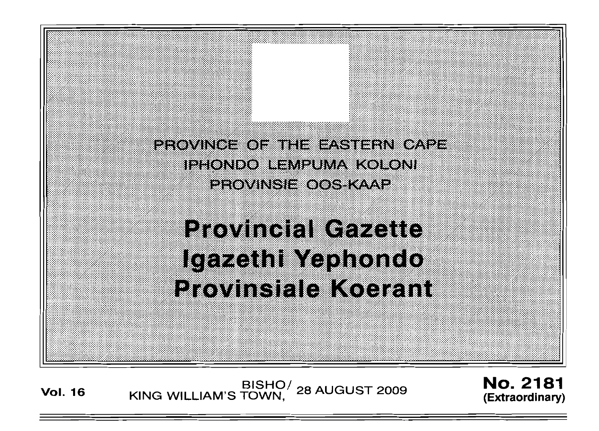PROVINGE OF THE EASTERN CAPE. IPHONDO LEMPUMA KOLONI PROVINSIE OOS KAAP

# **Provincial Cazette** Igazethi Yephondo Provinsiale Koarant

**Vol. <sup>16</sup>** BISHO/ KING WILLIAM'S TOWN, 28 AUGUST 2009

**No. 2181 (Extraordinary)**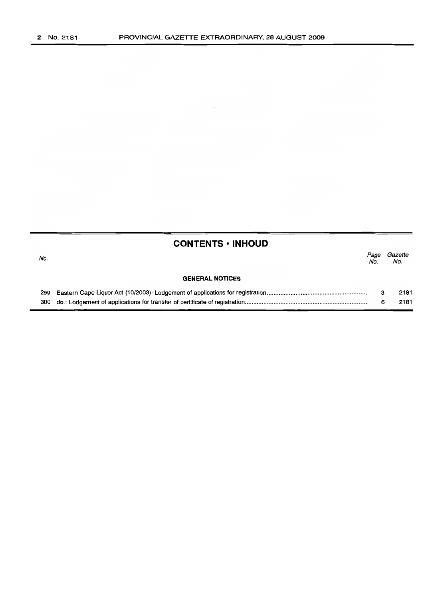$\sim$ 

|     | <b>CONTENTS • INHOUD</b> |             |                |
|-----|--------------------------|-------------|----------------|
| No. |                          | Page<br>No. | Gazette<br>No. |
|     | <b>GENERAL NOTICES</b>   |             |                |
| 299 |                          | з           | 2181           |
|     |                          | 6           | 2181           |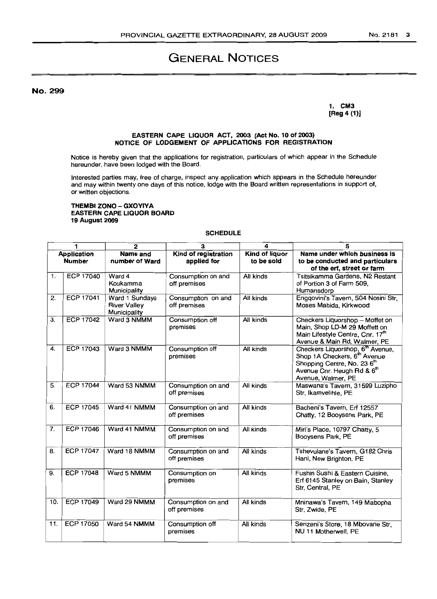# **GENERAL NOTICES**

No. 299

1. CM3 [Reg 4 (1)]

# EASTERN CAPE LIQUOR ACT, 2003 (Act No. 10 of 2003) NOTICE OF LODGEMENT OF APPLICATIONS FOR REGISTRATION

Notice is hereby given that the applications for registration, particulars of which appear in the Schedule hereunder, have been lodged with the Board.

Interested parties may, free of charge, inspect any application which appears in the Schedule hereunder and may within twenty one days of this notice, lodge with the Board written representations in support of, or written objections.

#### THEMBI ZONO - GXOYIYA EASTERN CAPE LIQUOR BOARD 19 August 2009

# SCHEDULE

| 1                                   |                  | $\overline{2}$                                        | 3                                   | 4                                   | 5                                                                                                                                                                                       |
|-------------------------------------|------------------|-------------------------------------------------------|-------------------------------------|-------------------------------------|-----------------------------------------------------------------------------------------------------------------------------------------------------------------------------------------|
| <b>Application</b><br><b>Number</b> |                  | Name and<br>number of Ward                            | Kind of registration<br>applied for | <b>Kind of liquor</b><br>to be sold | Name under which business is<br>to be conducted and particulars<br>of the erf, street or farm                                                                                           |
| 1.                                  | <b>ECP 17040</b> | Ward 4<br>Koukamma<br>Municipality                    | Consumption on and<br>off premises  | All kinds                           | Tsitsikamma Gardens, N2 Restant<br>of Portion 3 of Farm 509.<br>Humansdorp                                                                                                              |
| 2.                                  | <b>ECP 17041</b> | Ward 1 Sundays<br><b>River Valley</b><br>Municipality | Consumption on and<br>off premises  | All kinds                           | Engqovini's Tavern, 504 Nosini Str,<br>Moses Mabida, Kirkwood                                                                                                                           |
| 3.                                  | <b>ECP 17042</b> | Ward 3 NMMM                                           | Consumption off<br>premises         | All kinds                           | Checkers Liquorshop - Moffet on<br>Main, Shop LD-M 29 Moffett on<br>Main Lifestyle Centre, Cnr. 17th<br>Avenue & Main Rd, Walmer, PE                                                    |
| $\overline{4}$ .                    | <b>ECP 17043</b> | Ward 3 NMMM                                           | Consumption off<br>premises         | All kinds                           | Checkers Liquorshop, 6 <sup>th</sup> Avenue,<br>Shop 1A Checkers, 6 <sup>th</sup> Avenue<br>Shopping Centre, No. 23 6 <sup>th</sup><br>Avenue Cnr. Heugh Rd & 6th<br>Avenue, Walmer, PE |
| 5.                                  | <b>ECP 17044</b> | Ward 53 NMMM                                          | Consumption on and<br>off premises  | All kinds                           | Maswana's Tavern, 31599 Luzipho<br>Str, Ikamvelihle, PE                                                                                                                                 |
| 6.                                  | <b>ECP 17045</b> | Ward 41 NMMM                                          | Consumption on and<br>off premises  | All kinds                           | Bacheni's Tavern, Erf 12557<br>Chatty, 12 Booysens Park, PE                                                                                                                             |
| 7.                                  | <b>ECP 17046</b> | Ward 41 NMMM                                          | Consumption on and<br>off premises  | All kinds                           | Miri's Place, 10797 Chatty, 5<br>Booysens Park, PE                                                                                                                                      |
| 8.                                  | <b>ECP 17047</b> | Ward 18 NMMM                                          | Consumption on and<br>off premises  | All kinds                           | Tshevulane's Tavern, G182 Chris<br>Hani, New Brighton, PE                                                                                                                               |
| 9.                                  | <b>ECP 17048</b> | Ward 5 NMMM                                           | Consumption on<br>premises          | All kinds                           | Fushin Sushi & Eastern Cuisine,<br>Erf 6145 Stanley on Bain, Stanley<br>Str. Central, PE                                                                                                |
| 10.                                 | <b>ECP 17049</b> | Ward 29 NMMM                                          | Consumption on and<br>off premises  | All kinds                           | Mninawa's Tavern, 149 Mabopha<br>Str, Zwide, PE                                                                                                                                         |
| 11.                                 | <b>ECP 17050</b> | Ward 54 NMMM                                          | Consumption off<br>premises         | All kinds                           | Senzeni's Store, 18 Mbovane Str,<br>NU 11 Motherwell, PE                                                                                                                                |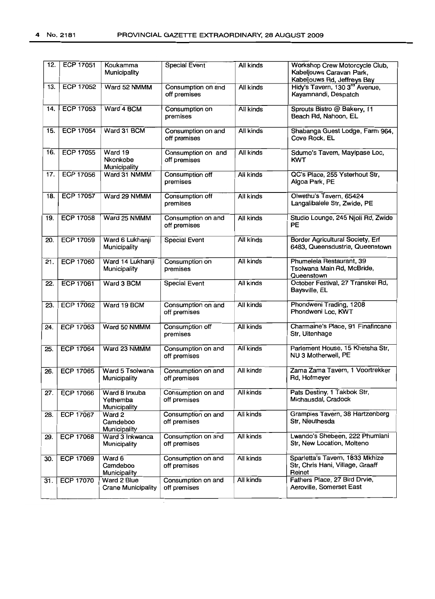| 12. | <b>ECP 17051</b> | Koukamma<br>Municipality                  | <b>Special Event</b>               | All kinds | Workshop Crew Motorcycle Club,<br>Kabeljouws Caravan Park,<br>Kabeljouws Rd, Jeffreys Bay |
|-----|------------------|-------------------------------------------|------------------------------------|-----------|-------------------------------------------------------------------------------------------|
| 13. | <b>ECP 17052</b> | Ward 52 NMMM                              | Consumption on and<br>off premises | All kinds | Hidy's Tavern, 130 3 <sup>rd</sup> Avenue,<br>Kayamnandi, Despatch                        |
| 14. | ECP 17053        | Ward 4 BCM                                | Consumption on<br>premises         | All kinds | Sprouts Bistro @ Bakery, 11<br>Beach Rd, Nahoon, EL                                       |
| 15. | <b>ECP 17054</b> | Ward 31 BCM                               | Consumption on and<br>off premises | All kinds | Shabanga Guest Lodge, Farm 964,<br>Cove Rock, EL                                          |
| 16. | <b>ECP 17055</b> | Ward 19<br>Nkonkobe<br>Municipality       | Consumption on and<br>off premises | All kinds | Sdumo's Tavern, Mayipase Loc,<br>KWT                                                      |
| 17. | <b>ECP 17056</b> | Ward 31 NMMM                              | Consumption off<br>premises        | All kinds | QC's Place, 255 Ysterhout Str,<br>Algoa Park, PE                                          |
| 18. | <b>ECP 17057</b> | Ward 29 NMMM                              | Consumption off<br>premises        | All kinds | Olwethu's Tavern, 65424<br>Langalibalele Str, Zwide, PE                                   |
| 19. | <b>ECP 17058</b> | Ward 25 NMMM                              | Consumption on and<br>off premises | All kinds | Studio Lounge, 245 Njoli Rd, Zwide<br>РE                                                  |
| 20. | <b>ECP 17059</b> | Ward 6 Lukhanji<br>Municipality           | <b>Special Event</b>               | All kinds | Border Agricultural Society, Erf<br>6483. Queensdustria, Queenstown                       |
| 21. | <b>ECP 17060</b> | Ward 14 Lukhanji<br>Municipality          | Consumption on<br>premises         | All kinds | Phumelela Restaurant, 39<br>Tsolwana Main Rd, McBride,<br>Queenstown                      |
| 22. | <b>ECP 17061</b> | Ward 3 BCM                                | <b>Special Event</b>               | All kinds | October Festival, 27 Transkei Rd,<br>Baysville, EL                                        |
| 23. | <b>ECP 17062</b> | Ward 19 BCM                               | Consumption on and<br>off premises | All kinds | Phondweni Trading, 1208<br>Phondweni Loc, KWT                                             |
| 24. | <b>ECP 17063</b> | Ward 50 NMMM                              | Consumption off<br>premises        | All kinds | Charmaine's Place, 91 Finafincane<br>Str, Uitenhage                                       |
| 25. | <b>ECP 17064</b> | Ward 23 NMMM                              | Consumption on and<br>off premises | All kinds | Parlement House, 15 Khetsha Str,<br>NU 3 Motherwell, PE                                   |
| 26. | <b>ECP 17065</b> | Ward 5 Tsolwana<br>Municipality           | Consumption on and<br>off premises | All kinds | Zama Zama Tavern, 1 Voortrekker<br>Rd, Hofmeyer                                           |
| 27. | <b>ECP 17066</b> | Ward 8 Inxuba<br>Yethemba<br>Municipality | Consumption on and<br>off premises | All kinds | Pats Destiny, 1 Takbok Str,<br>Michausdal, Cradock                                        |
| 28. | <b>ECP 17067</b> | Ward 2<br>Camdeboo<br>Municipality        | Consumption on and<br>off premises | All kinds | Grampies Tavern, 38 Hartzenberg<br>Str, Nieuthesda                                        |
| 29. | <b>ECP 17068</b> | Ward 3 Inkwanca<br>Municipality           | Consumption on and<br>off premises | All kinds | Lwando's Shebeen, 222 Phumlani<br>Str, New Location, Molteno                              |
| 30. | ECP 17069        | Ward 6<br>Camdeboo<br>Municipality        | Consumption on and<br>off premises | All kinds | Sparletta's Tavern, 1833 Mkhize<br>Str, Chris Hani, Village, Graaff<br>Reinet             |
| 31. | <b>ECP 17070</b> | Ward 2 Blue<br><b>Crane Municipality</b>  | Consumption on and<br>off premises | All kinds | Fathers Place, 27 Bird Drvie,<br>Aeroville, Somerset East                                 |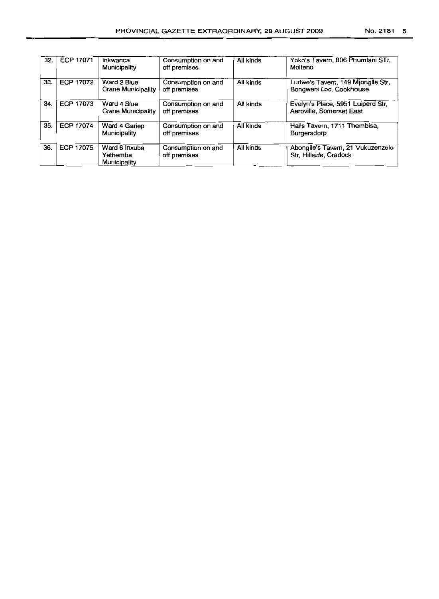| 32. | ECP 17071        | Inkwanca<br>Municipality                  | Consumption on and<br>off premises | All kinds | Yoko's Tavern, 806 Phumlani STr,<br>Molteno                   |
|-----|------------------|-------------------------------------------|------------------------------------|-----------|---------------------------------------------------------------|
| 33. | <b>ECP 17072</b> | Ward 2 Blue<br><b>Crane Municipality</b>  | Consumption on and<br>off premises | All kinds | Ludwe's Tavern, 149 Miongile Str,<br>Bongweni Loc, Cookhouse  |
| 34. | <b>ECP 17073</b> | Ward 4 Blue<br><b>Crane Municipality</b>  | Consumption on and<br>off premises | All kinds | Evelyn's Place, 5951 Luiperd Str,<br>Aeroville, Somerset East |
| 35. | ECP 17074        | Ward 4 Gariep<br>Municipality             | Consumption on and<br>off premises | All kinds | Halls Tavern, 1711 Thembisa,<br>Burgersdorp                   |
| 36. | <b>ECP 17075</b> | Ward 6 Inxuba<br>Yethemba<br>Municipality | Consumption on and<br>off premises | All kinds | Abongile's Tavern, 21 Vukuzenzele<br>Str, Hillside, Cradock   |